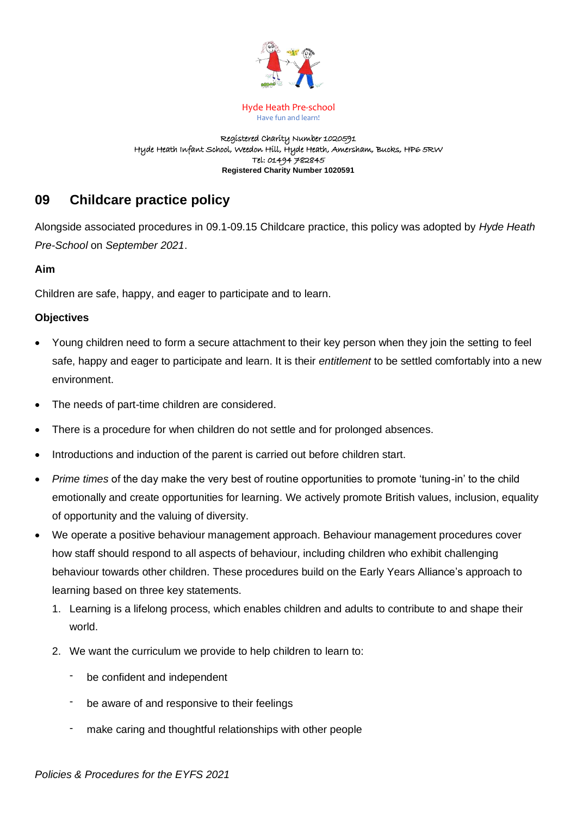

#### Registered Charity Number 1020591 Hyde Heath Infant School, Weedon Hill, Hyde Heath, Amersham, Bucks, HP6 5RW Tel: 01494 782845 **Registered Charity Number 1020591**

# **09 Childcare practice policy**

Alongside associated procedures in 09.1-09.15 Childcare practice, this policy was adopted by *Hyde Heath Pre-School* on *September 2021*.

## **Aim**

Children are safe, happy, and eager to participate and to learn.

#### **Objectives**

- Young children need to form a secure attachment to their key person when they join the setting to feel safe, happy and eager to participate and learn. It is their *entitlement* to be settled comfortably into a new environment.
- The needs of part-time children are considered.
- There is a procedure for when children do not settle and for prolonged absences.
- Introductions and induction of the parent is carried out before children start.
- *Prime times* of the day make the very best of routine opportunities to promote 'tuning-in' to the child emotionally and create opportunities for learning. We actively promote British values, inclusion, equality of opportunity and the valuing of diversity.
- We operate a positive behaviour management approach. Behaviour management procedures cover how staff should respond to all aspects of behaviour, including children who exhibit challenging behaviour towards other children. These procedures build on the Early Years Alliance's approach to learning based on three key statements.
	- 1. Learning is a lifelong process, which enables children and adults to contribute to and shape their world.
	- 2. We want the curriculum we provide to help children to learn to:
		- be confident and independent
		- be aware of and responsive to their feelings
		- make caring and thoughtful relationships with other people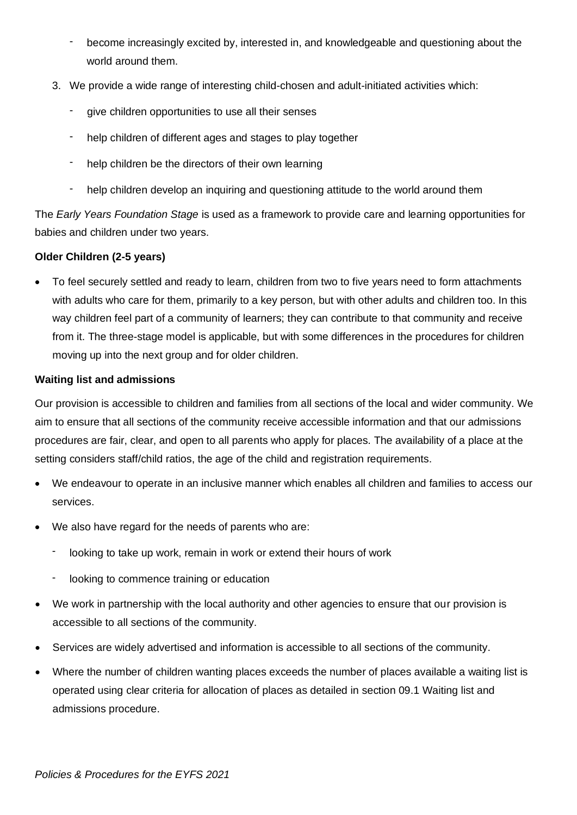- become increasingly excited by, interested in, and knowledgeable and questioning about the world around them.
- 3. We provide a wide range of interesting child-chosen and adult-initiated activities which:
	- give children opportunities to use all their senses
	- help children of different ages and stages to play together
	- help children be the directors of their own learning
	- help children develop an inquiring and questioning attitude to the world around them

The *Early Years Foundation Stage* is used as a framework to provide care and learning opportunities for babies and children under two years.

## **Older Children (2-5 years)**

• To feel securely settled and ready to learn, children from two to five years need to form attachments with adults who care for them, primarily to a key person, but with other adults and children too. In this way children feel part of a community of learners; they can contribute to that community and receive from it. The three-stage model is applicable, but with some differences in the procedures for children moving up into the next group and for older children.

## **Waiting list and admissions**

Our provision is accessible to children and families from all sections of the local and wider community. We aim to ensure that all sections of the community receive accessible information and that our admissions procedures are fair, clear, and open to all parents who apply for places. The availability of a place at the setting considers staff/child ratios, the age of the child and registration requirements.

- We endeavour to operate in an inclusive manner which enables all children and families to access our services.
- We also have regard for the needs of parents who are:
	- looking to take up work, remain in work or extend their hours of work
	- looking to commence training or education
- We work in partnership with the local authority and other agencies to ensure that our provision is accessible to all sections of the community.
- Services are widely advertised and information is accessible to all sections of the community.
- Where the number of children wanting places exceeds the number of places available a waiting list is operated using clear criteria for allocation of places as detailed in section 09.1 Waiting list and admissions procedure.